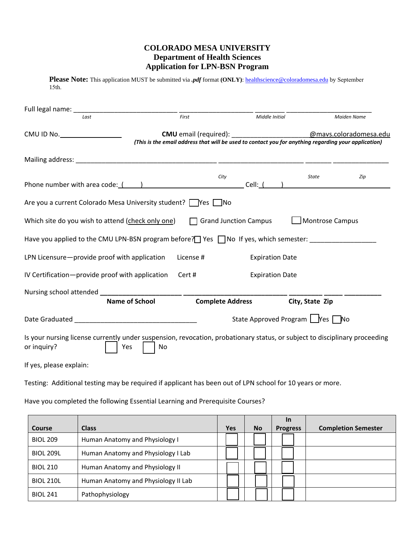## **COLORADO MESA UNIVERSITY Department of Health Sciences Application for LPN-BSN Program**

Please Note: This application MUST be submitted via *.pdf* format (ONLY): healthscience@coloradomesa.edu by September

15th.

| Last                                                                                                                                      |                       | First     | Middle Initial                                                                                                                                                    |                                                                                                                                                                                                                                                                                                                                                         | <b>Maiden Name</b>     |
|-------------------------------------------------------------------------------------------------------------------------------------------|-----------------------|-----------|-------------------------------------------------------------------------------------------------------------------------------------------------------------------|---------------------------------------------------------------------------------------------------------------------------------------------------------------------------------------------------------------------------------------------------------------------------------------------------------------------------------------------------------|------------------------|
| $CMU$ ID No. $\qquad \qquad \qquad$                                                                                                       |                       |           | <b>CMU</b> email (required): <b>CMU</b> email (required):<br>(This is the email address that will be used to contact you for anything regarding your application) |                                                                                                                                                                                                                                                                                                                                                         | @mavs.coloradomesa.edu |
|                                                                                                                                           |                       |           |                                                                                                                                                                   |                                                                                                                                                                                                                                                                                                                                                         |                        |
| Phone number with area code: ( )                                                                                                          |                       |           | City                                                                                                                                                              | State<br>$Cell:$ $\qquad \qquad$ $\qquad$ $\qquad$ $\qquad$ $\qquad$ $\qquad$ $\qquad$ $\qquad$ $\qquad$ $\qquad$ $\qquad$ $\qquad$ $\qquad$ $\qquad$ $\qquad$ $\qquad$ $\qquad$ $\qquad$ $\qquad$ $\qquad$ $\qquad$ $\qquad$ $\qquad$ $\qquad$ $\qquad$ $\qquad$ $\qquad$ $\qquad$ $\qquad$ $\qquad$ $\qquad$ $\qquad$ $\qquad$ $\qquad$ $\qquad$ $\q$ | Zip                    |
| Are you a current Colorado Mesa University student? Wes No                                                                                |                       |           |                                                                                                                                                                   |                                                                                                                                                                                                                                                                                                                                                         |                        |
| Which site do you wish to attend (check only one)                                                                                         |                       |           | $\Box$ Grand Junction Campus                                                                                                                                      | Montrose Campus                                                                                                                                                                                                                                                                                                                                         |                        |
| Have you applied to the CMU LPN-BSN program before? $\Box$ Yes $\Box$ No If yes, which semester:                                          |                       |           |                                                                                                                                                                   |                                                                                                                                                                                                                                                                                                                                                         |                        |
| LPN Licensure-provide proof with application                                                                                              |                       | License # | <b>Expiration Date</b>                                                                                                                                            |                                                                                                                                                                                                                                                                                                                                                         |                        |
| IV Certification-provide proof with application                                                                                           |                       | Cert #    | <b>Expiration Date</b>                                                                                                                                            |                                                                                                                                                                                                                                                                                                                                                         |                        |
| Nursing school attended _________________________ ________                                                                                | <b>Name of School</b> |           | <b>Complete Address</b>                                                                                                                                           | City, State Zip                                                                                                                                                                                                                                                                                                                                         |                        |
|                                                                                                                                           |                       |           |                                                                                                                                                                   | State Approved Program   Yes No                                                                                                                                                                                                                                                                                                                         |                        |
| Is your nursing license currently under suspension, revocation, probationary status, or subject to disciplinary proceeding<br>or inquiry? | Yes<br>N <sub>0</sub> |           |                                                                                                                                                                   |                                                                                                                                                                                                                                                                                                                                                         |                        |
| If yes, please explain:                                                                                                                   |                       |           |                                                                                                                                                                   |                                                                                                                                                                                                                                                                                                                                                         |                        |

Testing: Additional testing may be required if applicant has been out of LPN school for 10 years or more.

Have you completed the following Essential Learning and Prerequisite Courses?

|                  |                                     |            |           | <b>In</b>       |                            |
|------------------|-------------------------------------|------------|-----------|-----------------|----------------------------|
| Course           | <b>Class</b>                        | <b>Yes</b> | <b>No</b> | <b>Progress</b> | <b>Completion Semester</b> |
| <b>BIOL 209</b>  | Human Anatomy and Physiology I      |            |           |                 |                            |
| <b>BIOL 209L</b> | Human Anatomy and Physiology I Lab  |            |           |                 |                            |
| <b>BIOL 210</b>  | Human Anatomy and Physiology II     |            |           |                 |                            |
| <b>BIOL 210L</b> | Human Anatomy and Physiology II Lab |            |           |                 |                            |
| <b>BIOL 241</b>  | Pathophysiology                     |            |           |                 |                            |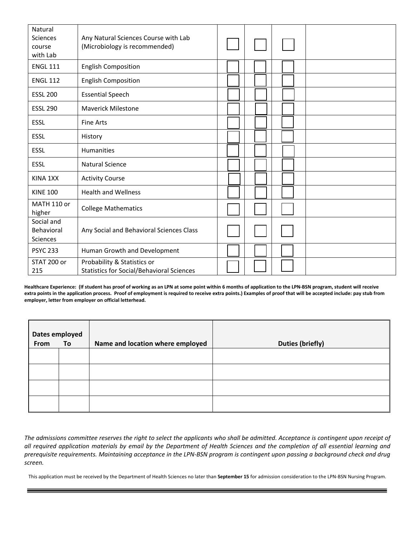| Natural<br>Sciences<br>course<br>with Lab | Any Natural Sciences Course with Lab<br>(Microbiology is recommended)           |  |  |
|-------------------------------------------|---------------------------------------------------------------------------------|--|--|
| <b>ENGL 111</b>                           | <b>English Composition</b>                                                      |  |  |
| <b>ENGL 112</b>                           | <b>English Composition</b>                                                      |  |  |
| <b>ESSL 200</b>                           | <b>Essential Speech</b>                                                         |  |  |
| <b>ESSL 290</b>                           | <b>Maverick Milestone</b>                                                       |  |  |
| <b>ESSL</b>                               | <b>Fine Arts</b>                                                                |  |  |
| <b>ESSL</b>                               | History                                                                         |  |  |
| <b>ESSL</b>                               | Humanities                                                                      |  |  |
| <b>ESSL</b>                               | <b>Natural Science</b>                                                          |  |  |
| KINA 1XX                                  | <b>Activity Course</b>                                                          |  |  |
| <b>KINE 100</b>                           | <b>Health and Wellness</b>                                                      |  |  |
| MATH 110 or<br>higher                     | <b>College Mathematics</b>                                                      |  |  |
| Social and<br>Behavioral<br>Sciences      | Any Social and Behavioral Sciences Class                                        |  |  |
| <b>PSYC 233</b>                           | Human Growth and Development                                                    |  |  |
| STAT 200 or<br>215                        | Probability & Statistics or<br><b>Statistics for Social/Behavioral Sciences</b> |  |  |

Healthcare Experience: (If student has proof of working as an LPN at some point within 6 months of application to the LPN-BSN program, student will receive extra points in the application process. Proof of employment is required to receive extra points.) Examples of proof that will be accepted include: pay stub from **employer, letter from employer on official letterhead.** 

| Dates employed |           |                                  |                         |
|----------------|-----------|----------------------------------|-------------------------|
| From           | <b>To</b> | Name and location where employed | <b>Duties (briefly)</b> |
|                |           |                                  |                         |
|                |           |                                  |                         |
|                |           |                                  |                         |
|                |           |                                  |                         |

The admissions committee reserves the right to select the applicants who shall be admitted. Acceptance is contingent upon receipt of all required application materials by email by the Department of Health Sciences and the completion of all essential learning and prerequisite requirements. Maintaining acceptance in the LPN-BSN program is contingent upon passing a background check and drug *screen.* 

This application must be received by the Department of Health Sciences no later than **September 15** for admission consideration to the LPN‐BSN Nursing Program.